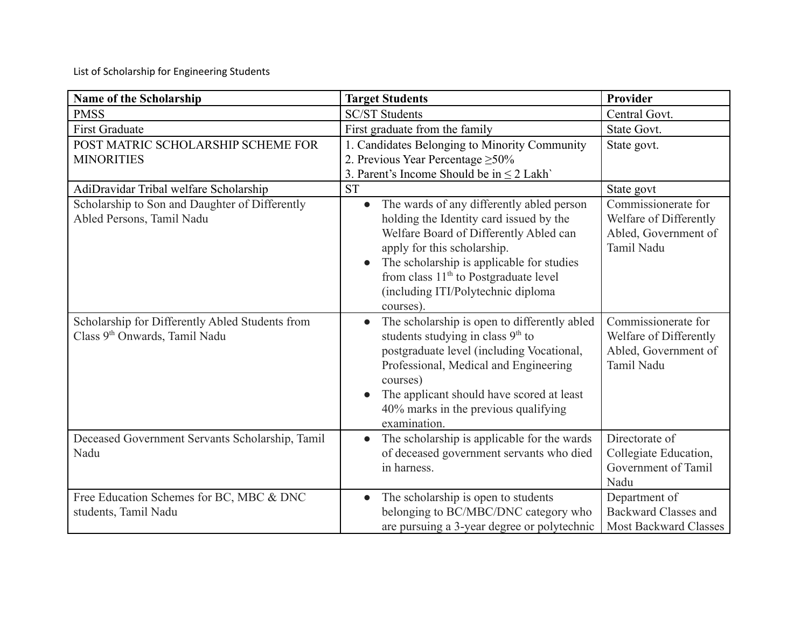List of Scholarship for Engineering Students

| <b>Name of the Scholarship</b>                                                               | <b>Target Students</b>                                                                                                                                                                                                                                                                                                          | Provider                                                                            |
|----------------------------------------------------------------------------------------------|---------------------------------------------------------------------------------------------------------------------------------------------------------------------------------------------------------------------------------------------------------------------------------------------------------------------------------|-------------------------------------------------------------------------------------|
| <b>PMSS</b>                                                                                  | <b>SC/ST Students</b>                                                                                                                                                                                                                                                                                                           | Central Govt.                                                                       |
| <b>First Graduate</b>                                                                        | First graduate from the family                                                                                                                                                                                                                                                                                                  | State Govt.                                                                         |
| POST MATRIC SCHOLARSHIP SCHEME FOR<br><b>MINORITIES</b>                                      | 1. Candidates Belonging to Minority Community<br>2. Previous Year Percentage $\geq 50\%$<br>3. Parent's Income Should be in $\leq$ 2 Lakh'                                                                                                                                                                                      | State govt.                                                                         |
| AdiDravidar Tribal welfare Scholarship                                                       | <b>ST</b>                                                                                                                                                                                                                                                                                                                       | State govt                                                                          |
| Scholarship to Son and Daughter of Differently<br>Abled Persons, Tamil Nadu                  | The wards of any differently abled person<br>$\bullet$<br>holding the Identity card issued by the<br>Welfare Board of Differently Abled can<br>apply for this scholarship.<br>The scholarship is applicable for studies<br>from class 11 <sup>th</sup> to Postgraduate level<br>(including ITI/Polytechnic diploma<br>courses). | Commissionerate for<br>Welfare of Differently<br>Abled, Government of<br>Tamil Nadu |
| Scholarship for Differently Abled Students from<br>Class 9 <sup>th</sup> Onwards, Tamil Nadu | The scholarship is open to differently abled<br>students studying in class 9 <sup>th</sup> to<br>postgraduate level (including Vocational,<br>Professional, Medical and Engineering<br>courses)<br>The applicant should have scored at least<br>40% marks in the previous qualifying<br>examination.                            | Commissionerate for<br>Welfare of Differently<br>Abled, Government of<br>Tamil Nadu |
| Deceased Government Servants Scholarship, Tamil<br>Nadu                                      | The scholarship is applicable for the wards<br>of deceased government servants who died<br>in harness.                                                                                                                                                                                                                          | Directorate of<br>Collegiate Education,<br>Government of Tamil<br>Nadu              |
| Free Education Schemes for BC, MBC & DNC<br>students, Tamil Nadu                             | The scholarship is open to students<br>belonging to BC/MBC/DNC category who<br>are pursuing a 3-year degree or polytechnic                                                                                                                                                                                                      | Department of<br><b>Backward Classes and</b><br><b>Most Backward Classes</b>        |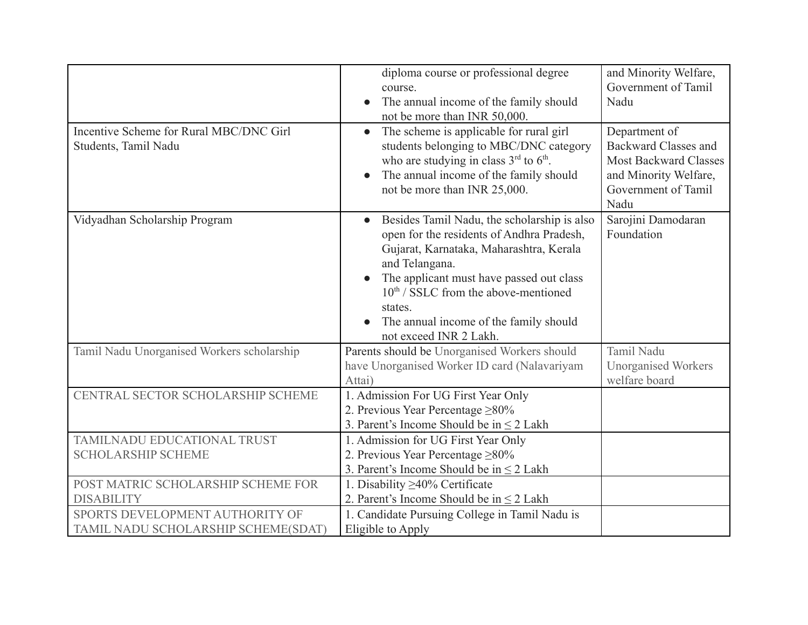| Incentive Scheme for Rural MBC/DNC Girl<br>Students, Tamil Nadu        | diploma course or professional degree<br>course.<br>The annual income of the family should<br>not be more than INR 50,000.<br>The scheme is applicable for rural girl<br>$\bullet$<br>students belonging to MBC/DNC category<br>who are studying in class $3rd$ to $6th$ .<br>The annual income of the family should<br>not be more than INR 25,000. | and Minority Welfare,<br>Government of Tamil<br>Nadu<br>Department of<br><b>Backward Classes and</b><br><b>Most Backward Classes</b><br>and Minority Welfare,<br>Government of Tamil<br>Nadu |
|------------------------------------------------------------------------|------------------------------------------------------------------------------------------------------------------------------------------------------------------------------------------------------------------------------------------------------------------------------------------------------------------------------------------------------|----------------------------------------------------------------------------------------------------------------------------------------------------------------------------------------------|
| Vidyadhan Scholarship Program                                          | Besides Tamil Nadu, the scholarship is also<br>open for the residents of Andhra Pradesh,<br>Gujarat, Karnataka, Maharashtra, Kerala<br>and Telangana.<br>The applicant must have passed out class<br>$10^{th}$ / SSLC from the above-mentioned<br>states.<br>The annual income of the family should<br>not exceed INR 2 Lakh.                        | Sarojini Damodaran<br>Foundation                                                                                                                                                             |
| Tamil Nadu Unorganised Workers scholarship                             | Parents should be Unorganised Workers should<br>have Unorganised Worker ID card (Nalavariyam<br>Attai)                                                                                                                                                                                                                                               | Tamil Nadu<br><b>Unorganised Workers</b><br>welfare board                                                                                                                                    |
| CENTRAL SECTOR SCHOLARSHIP SCHEME                                      | 1. Admission For UG First Year Only<br>2. Previous Year Percentage $\geq 80\%$<br>3. Parent's Income Should be in $\leq 2$ Lakh                                                                                                                                                                                                                      |                                                                                                                                                                                              |
| TAMILNADU EDUCATIONAL TRUST<br><b>SCHOLARSHIP SCHEME</b>               | 1. Admission for UG First Year Only<br>2. Previous Year Percentage $\geq 80\%$<br>3. Parent's Income Should be in $\leq 2$ Lakh                                                                                                                                                                                                                      |                                                                                                                                                                                              |
| POST MATRIC SCHOLARSHIP SCHEME FOR<br><b>DISABILITY</b>                | 1. Disability $\geq$ 40% Certificate<br>2. Parent's Income Should be in $\leq$ 2 Lakh                                                                                                                                                                                                                                                                |                                                                                                                                                                                              |
| SPORTS DEVELOPMENT AUTHORITY OF<br>TAMIL NADU SCHOLARSHIP SCHEME(SDAT) | 1. Candidate Pursuing College in Tamil Nadu is<br>Eligible to Apply                                                                                                                                                                                                                                                                                  |                                                                                                                                                                                              |